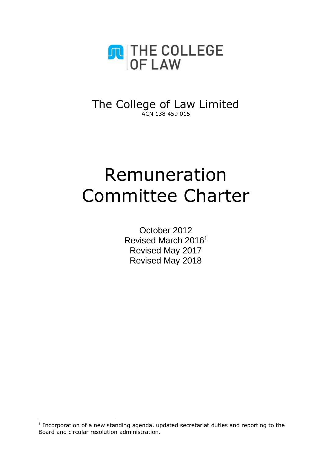

The College of Law Limited ACN 138 459 015

# Remuneration Committee Charter

October 2012 Revised March 2016<sup>1</sup> Revised May 2017 Revised May 2018

-

 $1$  Incorporation of a new standing agenda, updated secretariat duties and reporting to the Board and circular resolution administration.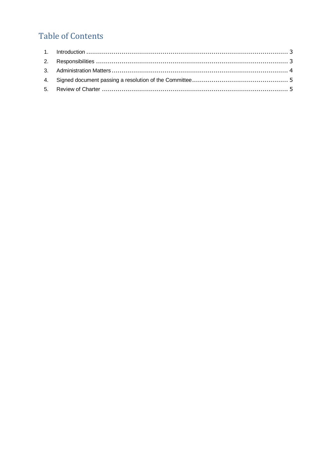# **Table of Contents**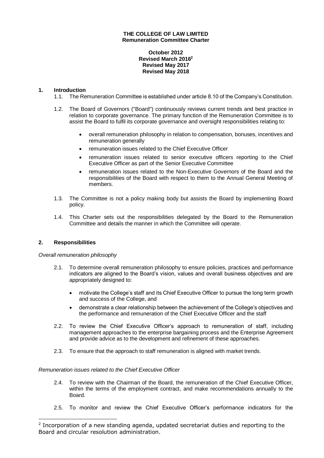## **THE COLLEGE OF LAW LIMITED Remuneration Committee Charter**

**October 2012 Revised March 2016<sup>2</sup> Revised May 2017 Revised May 2018**

# <span id="page-2-0"></span>**1. Introduction**

- 1.1. The Remuneration Committee is established under article 8.10 of the Company's Constitution.
- 1.2. The Board of Governors ("Board") continuously reviews current trends and best practice in relation to corporate governance. The primary function of the Remuneration Committee is to assist the Board to fulfil its corporate governance and oversight responsibilities relating to:
	- overall remuneration philosophy in relation to compensation, bonuses, incentives and remuneration generally
	- remuneration issues related to the Chief Executive Officer
	- remuneration issues related to senior executive officers reporting to the Chief Executive Officer as part of the Senior Executive Committee
	- remuneration issues related to the Non-Executive Governors of the Board and the responsibilities of the Board with respect to them to the Annual General Meeting of members.
- 1.3. The Committee is not a policy making body but assists the Board by implementing Board policy.
- 1.4. This Charter sets out the responsibilities delegated by the Board to the Remuneration Committee and details the manner in which the Committee will operate.

# <span id="page-2-1"></span>**2. Responsibilities**

-

#### *Overall remuneration philosophy*

- 2.1. To determine overall remuneration philosophy to ensure policies, practices and performance indicators are aligned to the Board's vision, values and overall business objectives and are appropriately designed to:
	- motivate the College's staff and its Chief Executive Officer to pursue the long term growth and success of the College, and
	- demonstrate a clear relationship between the achievement of the College's objectives and the performance and remuneration of the Chief Executive Officer and the staff
- 2.2. To review the Chief Executive Officer's approach to remuneration of staff, including management approaches to the enterprise bargaining process and the Enterprise Agreement and provide advice as to the development and refinement of these approaches.
- 2.3. To ensure that the approach to staff remuneration is aligned with market trends.

# *Remuneration issues related to the Chief Executive Officer*

- 2.4. To review with the Chairman of the Board, the remuneration of the Chief Executive Officer, within the terms of the employment contract, and make recommendations annually to the Board.
- 2.5. To monitor and review the Chief Executive Officer's performance indicators for the

 $2$  Incorporation of a new standing agenda, updated secretariat duties and reporting to the Board and circular resolution administration.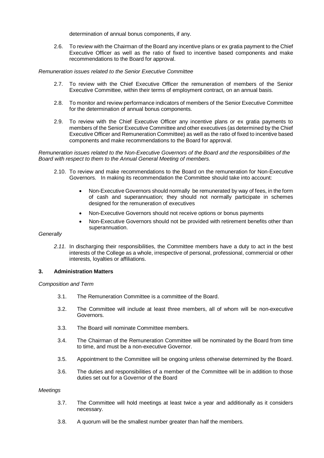determination of annual bonus components, if any.

2.6. To review with the Chairman of the Board any incentive plans or ex gratia payment to the Chief Executive Officer as well as the ratio of fixed to incentive based components and make recommendations to the Board for approval.

*Remuneration issues related to the Senior Executive Committee*

- 2.7. To review with the Chief Executive Officer the remuneration of members of the Senior Executive Committee, within their terms of employment contract, on an annual basis.
- 2.8. To monitor and review performance indicators of members of the Senior Executive Committee for the determination of annual bonus components.
- 2.9. To review with the Chief Executive Officer any incentive plans or ex gratia payments to members of the Senior Executive Committee and other executives (as determined by the Chief Executive Officer and Remuneration Committee) as well as the ratio of fixed to incentive based components and make recommendations to the Board for approval.

*Remuneration issues related to the Non-Executive Governors of the Board and the responsibilities of the Board with respect to them to the Annual General Meeting of members.* 

- 2.10. To review and make recommendations to the Board on the remuneration for Non-Executive Governors. In making its recommendation the Committee should take into account:
	- Non-Executive Governors should normally be remunerated by way of fees, in the form of cash and superannuation; they should not normally participate in schemes designed for the remuneration of executives
	- Non-Executive Governors should not receive options or bonus payments
	- Non-Executive Governors should not be provided with retirement benefits other than superannuation.

#### *Generally*

*2.11.* In discharging their responsibilities, the Committee members have a duty to act in the best interests of the College as a whole, irrespective of personal, professional, commercial or other interests, loyalties or affiliations.

# <span id="page-3-0"></span>**3. Administration Matters**

*Composition and Term*

- 3.1. The Remuneration Committee is a committee of the Board.
- 3.2. The Committee will include at least three members, all of whom will be non-executive Governors.
- 3.3. The Board will nominate Committee members.
- 3.4. The Chairman of the Remuneration Committee will be nominated by the Board from time to time, and must be a non-executive Governor.
- 3.5. Appointment to the Committee will be ongoing unless otherwise determined by the Board.
- 3.6. The duties and responsibilities of a member of the Committee will be in addition to those duties set out for a Governor of the Board

#### *Meetings*

- 3.7. The Committee will hold meetings at least twice a year and additionally as it considers necessary.
- 3.8. A quorum will be the smallest number greater than half the members.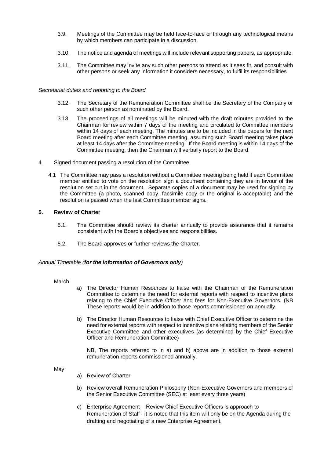- 3.9. Meetings of the Committee may be held face-to-face or through any technological means by which members can participate in a discussion.
- 3.10. The notice and agenda of meetings will include relevant supporting papers, as appropriate.
- 3.11. The Committee may invite any such other persons to attend as it sees fit, and consult with other persons or seek any information it considers necessary, to fulfil its responsibilities.

#### *Secretariat duties and reporting to the Board*

- 3.12. The Secretary of the Remuneration Committee shall be the Secretary of the Company or such other person as nominated by the Board.
- 3.13. The proceedings of all meetings will be minuted with the draft minutes provided to the Chairman for review within 7 days of the meeting and circulated to Committee members within 14 days of each meeting. The minutes are to be included in the papers for the next Board meeting after each Committee meeting, assuming such Board meeting takes place at least 14 days after the Committee meeting. If the Board meeting is within 14 days of the Committee meeting, then the Chairman will verbally report to the Board.
- <span id="page-4-0"></span>4. Signed document passing a resolution of the Committee
	- 4.1 The Committee may pass a resolution without a Committee meeting being held if each Committee member entitled to vote on the resolution sign a document containing they are in favour of the resolution set out in the document. Separate copies of a document may be used for signing by the Committee (a photo, scanned copy, facsimile copy or the original is acceptable) and the resolution is passed when the last Committee member signs.

## <span id="page-4-1"></span>**5. Review of Charter**

- 5.1. The Committee should review its charter annually to provide assurance that it remains consistent with the Board's objectives and responsibilities.
- 5.2. The Board approves or further reviews the Charter.

#### *Annual Timetable (for the information of Governors only)*

#### March

- a) The Director Human Resources to liaise with the Chairman of the Remuneration Committee to determine the need for external reports with respect to incentive plans relating to the Chief Executive Officer and fees for Non-Executive Governors. (NB These reports would be in addition to those reports commissioned on annually.
- b) The Director Human Resources to liaise with Chief Executive Officer to determine the need for external reports with respect to incentive plans relating members of the Senior Executive Committee and other executives (as determined by the Chief Executive Officer and Remuneration Committee)

NB, The reports referred to in a) and b) above are in addition to those external remuneration reports commissioned annually.

May

- a) Review of Charter
- b) Review overall Remuneration Philosophy (Non-Executive Governors and members of the Senior Executive Committee (SEC) at least every three years)
- c) Enterprise Agreement Review Chief Executive Officers 's approach to Remuneration of Staff –it is noted that this item will only be on the Agenda during the drafting and negotiating of a new Enterprise Agreement.